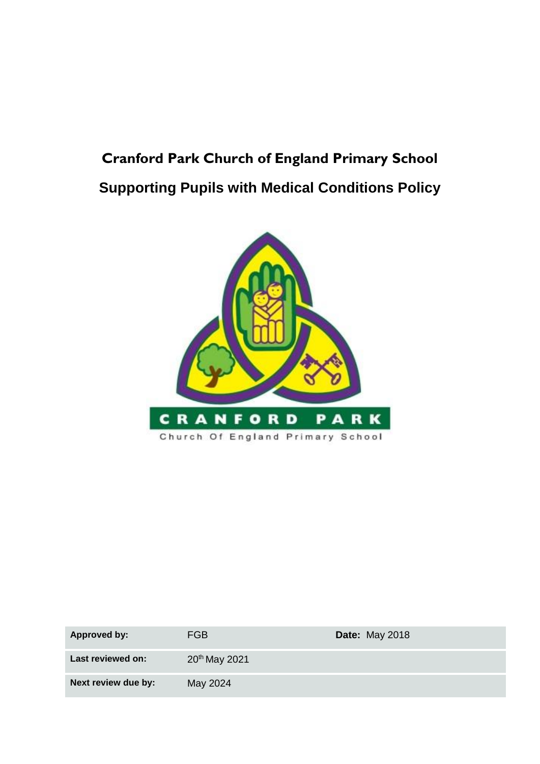# **Cranford Park Church of England Primary School Supporting Pupils with Medical Conditions Policy**



| <b>Approved by:</b> | FGB                       | <b>Date: May 2018</b> |
|---------------------|---------------------------|-----------------------|
| Last reviewed on:   | 20 <sup>th</sup> May 2021 |                       |
| Next review due by: | May 2024                  |                       |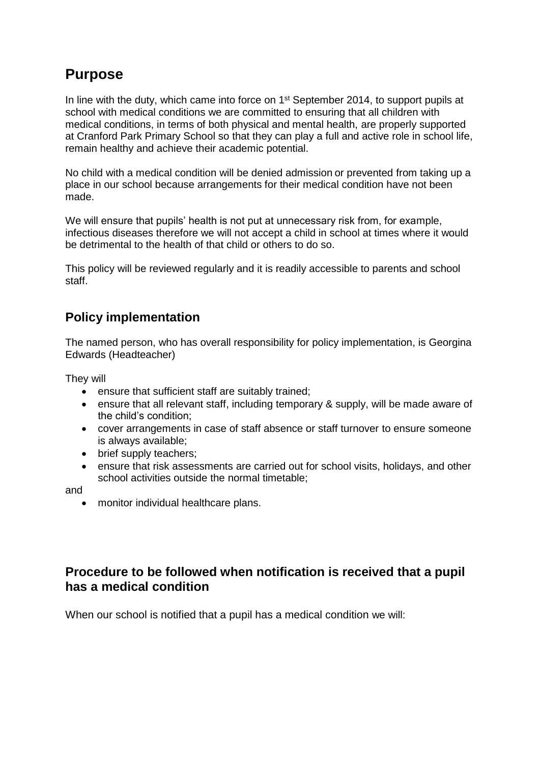## **Purpose**

In line with the duty, which came into force on 1<sup>st</sup> September 2014, to support pupils at school with medical conditions we are committed to ensuring that all children with medical conditions, in terms of both physical and mental health, are properly supported at Cranford Park Primary School so that they can play a full and active role in school life, remain healthy and achieve their academic potential.

No child with a medical condition will be denied admission or prevented from taking up a place in our school because arrangements for their medical condition have not been made.

We will ensure that pupils' health is not put at unnecessary risk from, for example, infectious diseases therefore we will not accept a child in school at times where it would be detrimental to the health of that child or others to do so.

This policy will be reviewed regularly and it is readily accessible to parents and school staff.

#### **Policy implementation**

The named person, who has overall responsibility for policy implementation, is Georgina Edwards (Headteacher)

They will

- ensure that sufficient staff are suitably trained;
- ensure that all relevant staff, including temporary & supply, will be made aware of the child's condition;
- cover arrangements in case of staff absence or staff turnover to ensure someone is always available;
- brief supply teachers;
- ensure that risk assessments are carried out for school visits, holidays, and other school activities outside the normal timetable;

and

• monitor individual healthcare plans.

#### **Procedure to be followed when notification is received that a pupil has a medical condition**

When our school is notified that a pupil has a medical condition we will: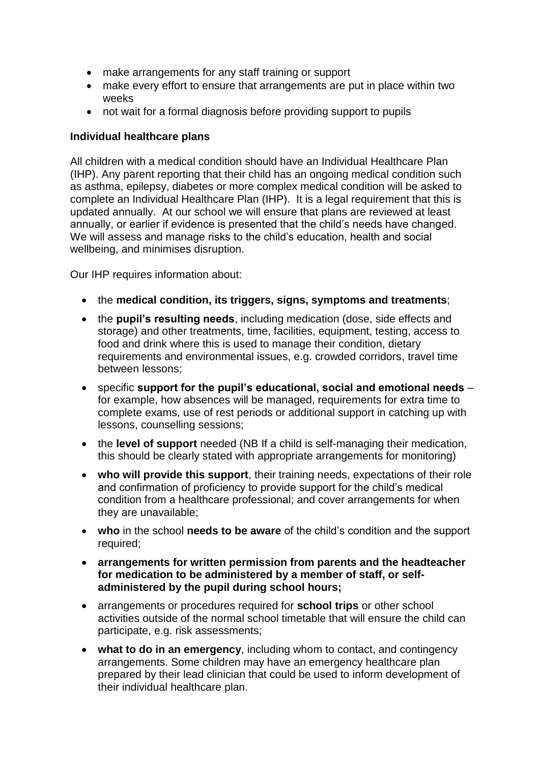- make arrangements for any staff training or support
- make every effort to ensure that arrangements are put in place within two weeks
- not wait for a formal diagnosis before providing support to pupils

#### **Individual healthcare plans**

All children with a medical condition should have an Individual Healthcare Plan (IHP). Any parent reporting that their child has an ongoing medical condition such as asthma, epilepsy, diabetes or more complex medical condition will be asked to complete an Individual Healthcare Plan (IHP). It is a legal requirement that this is updated annually. At our school we will ensure that plans are reviewed at least annually, or earlier if evidence is presented that the child's needs have changed. We will assess and manage risks to the child's education, health and social wellbeing, and minimises disruption.

Our IHP requires information about:

- the **medical condition, its triggers, signs, symptoms and treatments**;
- the **pupil's resulting needs**, including medication (dose, side effects and storage) and other treatments, time, facilities, equipment, testing, access to food and drink where this is used to manage their condition, dietary requirements and environmental issues, e.g. crowded corridors, travel time between lessons;
- specific **support for the pupil's educational, social and emotional needs** for example, how absences will be managed, requirements for extra time to complete exams, use of rest periods or additional support in catching up with lessons, counselling sessions;
- the **level of support** needed (NB If a child is self-managing their medication, this should be clearly stated with appropriate arrangements for monitoring)
- **who will provide this support**, their training needs, expectations of their role and confirmation of proficiency to provide support for the child's medical condition from a healthcare professional; and cover arrangements for when they are unavailable;
- **who** in the school **needs to be aware** of the child's condition and the support required;
- **arrangements for written permission from parents and the headteacher for medication to be administered by a member of staff, or selfadministered by the pupil during school hours;**
- arrangements or procedures required for **school trips** or other school activities outside of the normal school timetable that will ensure the child can participate, e.g. risk assessments;
- **what to do in an emergency**, including whom to contact, and contingency arrangements. Some children may have an emergency healthcare plan prepared by their lead clinician that could be used to inform development of their individual healthcare plan.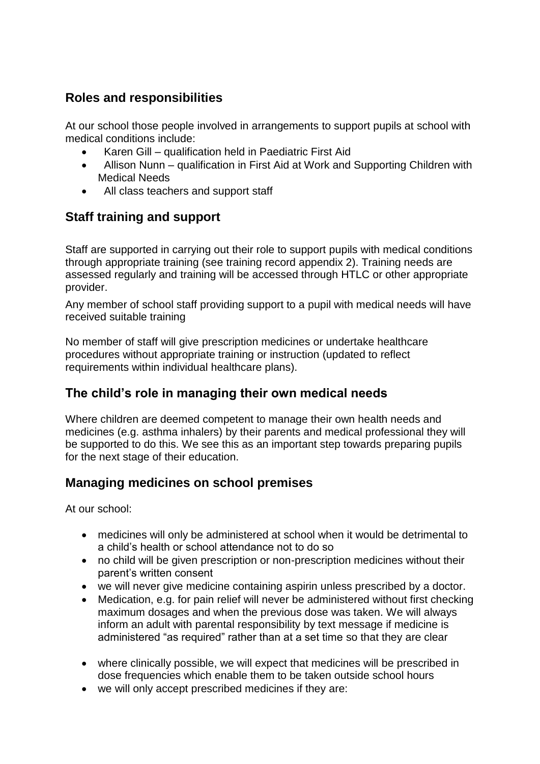### **Roles and responsibilities**

At our school those people involved in arrangements to support pupils at school with medical conditions include:

- Karen Gill qualification held in Paediatric First Aid
- Allison Nunn qualification in First Aid at Work and Supporting Children with Medical Needs
- All class teachers and support staff

#### **Staff training and support**

Staff are supported in carrying out their role to support pupils with medical conditions through appropriate training (see training record appendix 2). Training needs are assessed regularly and training will be accessed through HTLC or other appropriate provider.

Any member of school staff providing support to a pupil with medical needs will have received suitable training

No member of staff will give prescription medicines or undertake healthcare procedures without appropriate training or instruction (updated to reflect requirements within individual healthcare plans).

#### **The child's role in managing their own medical needs**

Where children are deemed competent to manage their own health needs and medicines (e.g. asthma inhalers) by their parents and medical professional they will be supported to do this. We see this as an important step towards preparing pupils for the next stage of their education.

#### **Managing medicines on school premises**

At our school:

- medicines will only be administered at school when it would be detrimental to a child's health or school attendance not to do so
- no child will be given prescription or non-prescription medicines without their parent's written consent
- we will never give medicine containing aspirin unless prescribed by a doctor.
- Medication, e.g. for pain relief will never be administered without first checking maximum dosages and when the previous dose was taken. We will always inform an adult with parental responsibility by text message if medicine is administered "as required" rather than at a set time so that they are clear
- where clinically possible, we will expect that medicines will be prescribed in dose frequencies which enable them to be taken outside school hours
- we will only accept prescribed medicines if they are: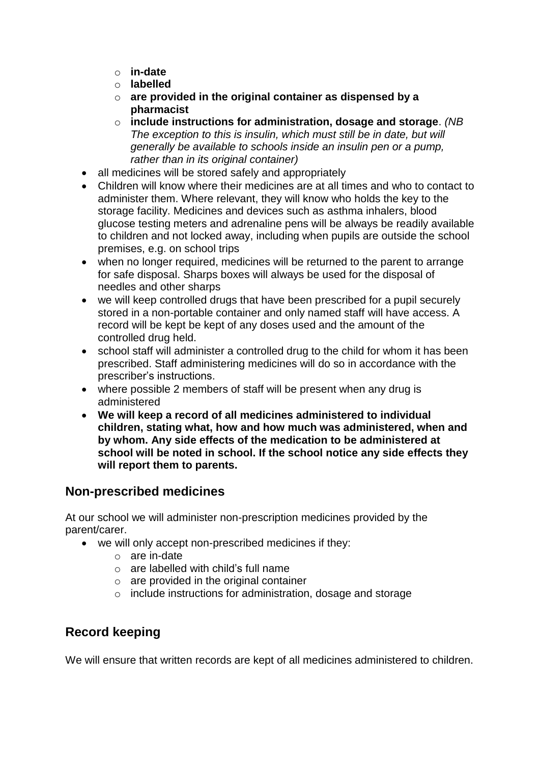- o **in-date**
- o **labelled**
- o **are provided in the original container as dispensed by a pharmacist**
- o **include instructions for administration, dosage and storage**. *(NB The exception to this is insulin, which must still be in date, but will generally be available to schools inside an insulin pen or a pump, rather than in its original container)*
- all medicines will be stored safely and appropriately
- Children will know where their medicines are at all times and who to contact to administer them. Where relevant, they will know who holds the key to the storage facility. Medicines and devices such as asthma inhalers, blood glucose testing meters and adrenaline pens will be always be readily available to children and not locked away, including when pupils are outside the school premises, e.g. on school trips
- when no longer required, medicines will be returned to the parent to arrange for safe disposal. Sharps boxes will always be used for the disposal of needles and other sharps
- we will keep controlled drugs that have been prescribed for a pupil securely stored in a non-portable container and only named staff will have access. A record will be kept be kept of any doses used and the amount of the controlled drug held.
- school staff will administer a controlled drug to the child for whom it has been prescribed. Staff administering medicines will do so in accordance with the prescriber's instructions.
- where possible 2 members of staff will be present when any drug is administered
- **We will keep a record of all medicines administered to individual children, stating what, how and how much was administered, when and by whom. Any side effects of the medication to be administered at school will be noted in school. If the school notice any side effects they will report them to parents.**

### **Non-prescribed medicines**

At our school we will administer non-prescription medicines provided by the parent/carer.

- we will only accept non-prescribed medicines if they:
	- o are in-date
	- o are labelled with child's full name
	- o are provided in the original container
	- o include instructions for administration, dosage and storage

#### **Record keeping**

We will ensure that written records are kept of all medicines administered to children.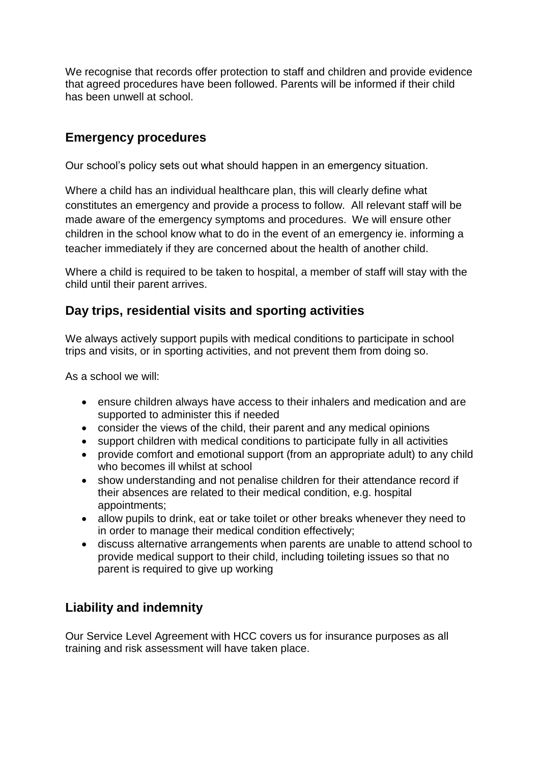We recognise that records offer protection to staff and children and provide evidence that agreed procedures have been followed. Parents will be informed if their child has been unwell at school.

### **Emergency procedures**

Our school's policy sets out what should happen in an emergency situation.

Where a child has an individual healthcare plan, this will clearly define what constitutes an emergency and provide a process to follow. All relevant staff will be made aware of the emergency symptoms and procedures. We will ensure other children in the school know what to do in the event of an emergency ie. informing a teacher immediately if they are concerned about the health of another child.

Where a child is required to be taken to hospital, a member of staff will stay with the child until their parent arrives.

#### **Day trips, residential visits and sporting activities**

We always actively support pupils with medical conditions to participate in school trips and visits, or in sporting activities, and not prevent them from doing so.

As a school we will:

- ensure children always have access to their inhalers and medication and are supported to administer this if needed
- consider the views of the child, their parent and any medical opinions
- support children with medical conditions to participate fully in all activities
- provide comfort and emotional support (from an appropriate adult) to any child who becomes ill whilst at school
- show understanding and not penalise children for their attendance record if their absences are related to their medical condition, e.g. hospital appointments;
- allow pupils to drink, eat or take toilet or other breaks whenever they need to in order to manage their medical condition effectively;
- discuss alternative arrangements when parents are unable to attend school to provide medical support to their child, including toileting issues so that no parent is required to give up working

### **Liability and indemnity**

Our Service Level Agreement with HCC covers us for insurance purposes as all training and risk assessment will have taken place.